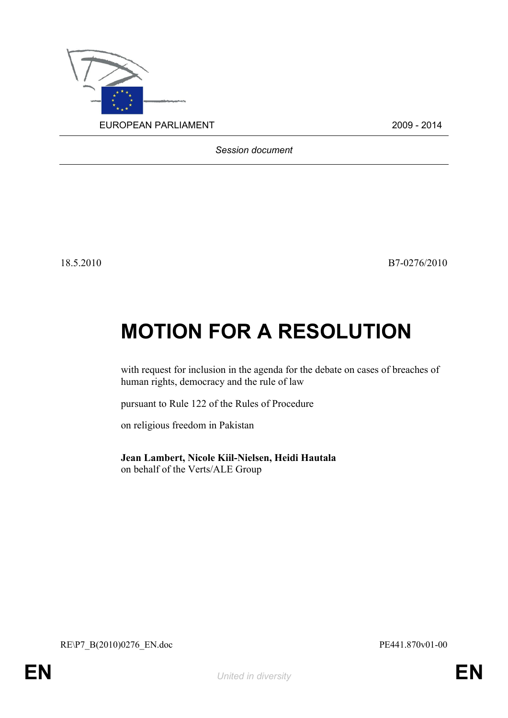

*Session document*

18.5.2010 B7-0276/2010

## **MOTION FOR A RESOLUTION**

with request for inclusion in the agenda for the debate on cases of breaches of human rights, democracy and the rule of law

pursuant to Rule 122 of the Rules of Procedure

on religious freedom in Pakistan

**Jean Lambert, Nicole Kiil-Nielsen, Heidi Hautala** on behalf of the Verts/ALE Group

<span id="page-0-1"></span>RE\P7\_B(2010)0276\_EN.doc PE441.870v01-00

<span id="page-0-0"></span>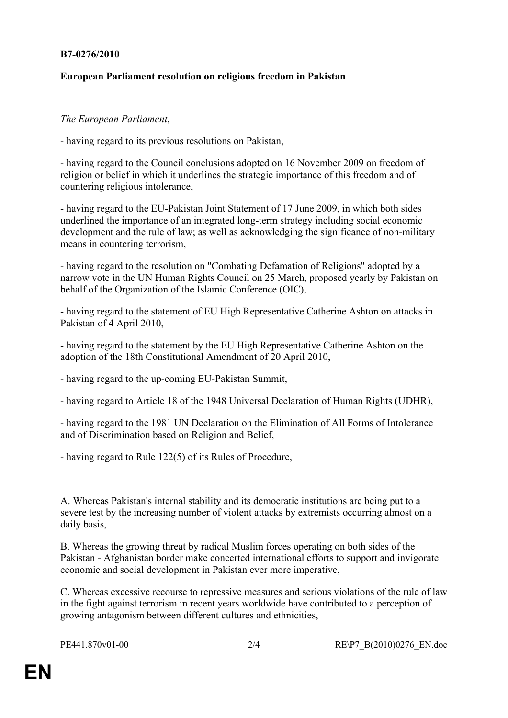## **B7-0276/2010**

## **European Parliament resolution on religious freedom in Pakistan**

## *The European Parliament*,

- having regard to its previous resolutions on Pakistan,

- having regard to the Council conclusions adopted on 16 November 2009 on freedom of religion or belief in which it underlines the strategic importance of this freedom and of countering religious intolerance,

- having regard to the EU-Pakistan Joint Statement of 17 June 2009, in which both sides underlined the importance of an integrated long-term strategy including social economic development and the rule of law; as well as acknowledging the significance of non-military means in countering terrorism,

- having regard to the resolution on "Combating Defamation of Religions" adopted by a narrow vote in the UN Human Rights Council on 25 March, proposed yearly by Pakistan on behalf of the Organization of the Islamic Conference (OIC),

- having regard to the statement of EU High Representative Catherine Ashton on attacks in Pakistan of 4 April 2010,

- having regard to the statement by the EU High Representative Catherine Ashton on the adoption of the 18th Constitutional Amendment of 20 April 2010,

- having regard to the up-coming EU-Pakistan Summit,

- having regard to Article 18 of the 1948 Universal Declaration of Human Rights (UDHR),

- having regard to the 1981 UN Declaration on the Elimination of All Forms of Intolerance and of Discrimination based on Religion and Belief,

- having regard to Rule 122(5) of its Rules of Procedure,

A. Whereas Pakistan's internal stability and its democratic institutions are being put to a severe test by the increasing number of violent attacks by extremists occurring almost on a daily basis,

B. Whereas the growing threat by radical Muslim forces operating on both sides of the Pakistan - Afghanistan border make concerted international efforts to support and invigorate economic and social development in Pakistan ever more imperative,

C. Whereas excessive recourse to repressive measures and serious violations of the rule of law in the fight against terrorism in recent years worldwide have contributed to a perception of growing antagonism between different cultures and ethnicities,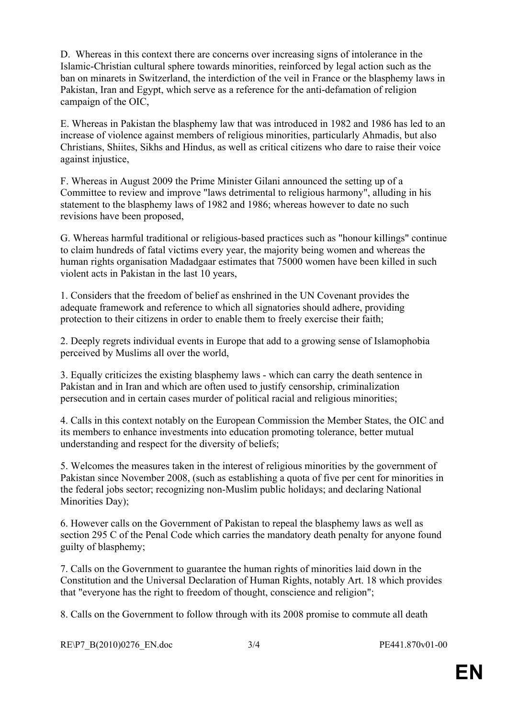D. Whereas in this context there are concerns over increasing signs of intolerance in the Islamic-Christian cultural sphere towards minorities, reinforced by legal action such as the ban on minarets in Switzerland, the interdiction of the veil in France or the blasphemy laws in Pakistan, Iran and Egypt, which serve as a reference for the anti-defamation of religion campaign of the OIC,

E. Whereas in Pakistan the blasphemy law that was introduced in 1982 and 1986 has led to an increase of violence against members of religious minorities, particularly Ahmadis, but also Christians, Shiites, Sikhs and Hindus, as well as critical citizens who dare to raise their voice against injustice,

F. Whereas in August 2009 the Prime Minister Gilani announced the setting up of a Committee to review and improve "laws detrimental to religious harmony", alluding in his statement to the blasphemy laws of 1982 and 1986; whereas however to date no such revisions have been proposed,

G. Whereas harmful traditional or religious-based practices such as "honour killings" continue to claim hundreds of fatal victims every year, the majority being women and whereas the human rights organisation Madadgaar estimates that 75000 women have been killed in such violent acts in Pakistan in the last 10 years,

1. Considers that the freedom of belief as enshrined in the UN Covenant provides the adequate framework and reference to which all signatories should adhere, providing protection to their citizens in order to enable them to freely exercise their faith;

2. Deeply regrets individual events in Europe that add to a growing sense of Islamophobia perceived by Muslims all over the world,

3. Equally criticizes the existing blasphemy laws - which can carry the death sentence in Pakistan and in Iran and which are often used to justify censorship, criminalization persecution and in certain cases murder of political racial and religious minorities;

4. Calls in this context notably on the European Commission the Member States, the OIC and its members to enhance investments into education promoting tolerance, better mutual understanding and respect for the diversity of beliefs;

5. Welcomes the measures taken in the interest of religious minorities by the government of Pakistan since November 2008, (such as establishing a quota of five per cent for minorities in the federal jobs sector; recognizing non-Muslim public holidays; and declaring National Minorities Day);

6. However calls on the Government of Pakistan to repeal the blasphemy laws as well as section 295 C of the Penal Code which carries the mandatory death penalty for anyone found guilty of blasphemy;

7. Calls on the Government to guarantee the human rights of minorities laid down in the Constitution and the Universal Declaration of Human Rights, notably Art. 18 which provides that "everyone has the right to freedom of thought, conscience and religion";

8. Calls on the Government to follow through with its 2008 promise to commute all death